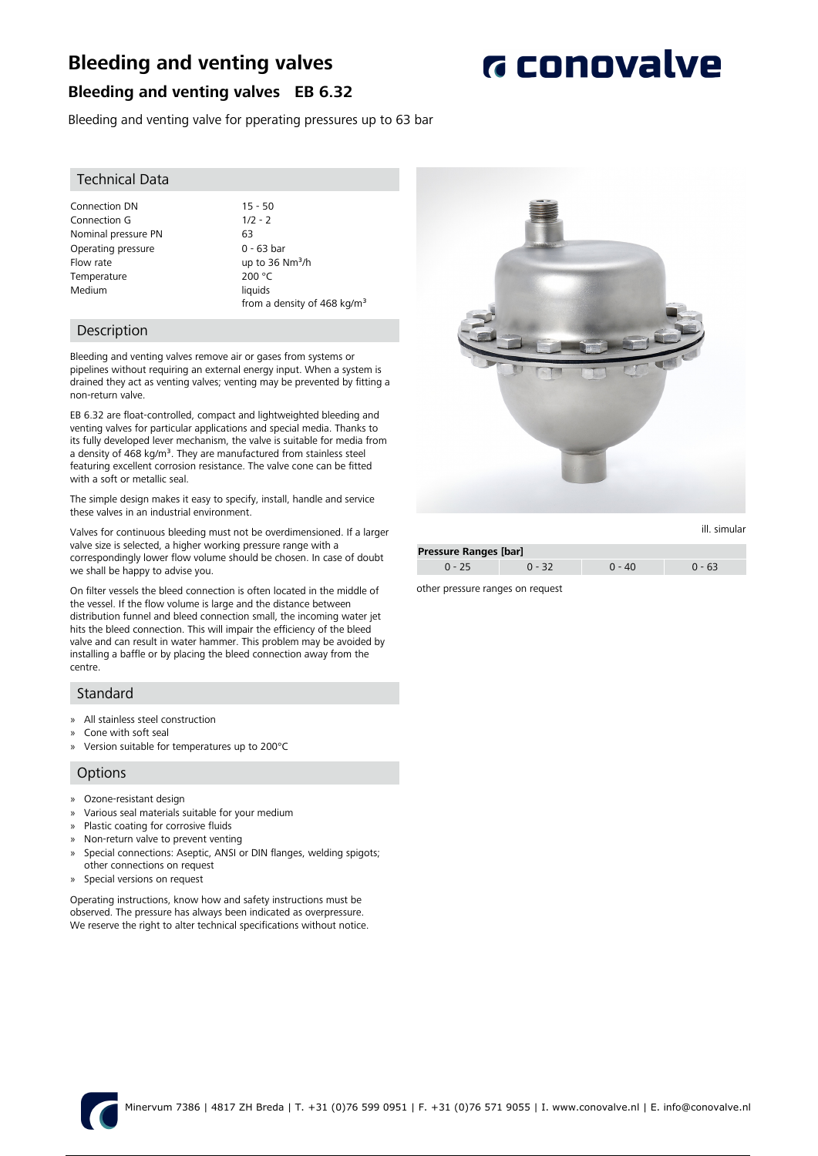## **Bleeding and venting valves**

**G** conovalve

### **Bleeding and venting valves EB 6.32**

Bleeding and venting valve for pperating pressures up to 63 bar

#### Technical Data

Connection DN 15 - 50<br>Connection G 1/2 - 2 Connection G Nominal pressure PN 63 Operating pressure 0 - 63 bar Flow rate up to 36 Nm<sup>3</sup>/h Temperature 200 °C Medium liquids

from a density of 468 kg/m<sup>3</sup>

#### Description

Bleeding and venting valves remove air or gases from systems or pipelines without requiring an external energy input. When a system is drained they act as venting valves; venting may be prevented by fitting a non-return valve.

EB 6.32 are float-controlled, compact and lightweighted bleeding and venting valves for particular applications and special media. Thanks to its fully developed lever mechanism, the valve is suitable for media from a density of 468 kg/m<sup>3</sup>. They are manufactured from stainless steel featuring excellent corrosion resistance. The valve cone can be fitted with a soft or metallic seal.

The simple design makes it easy to specify, install, handle and service these valves in an industrial environment.

Valves for continuous bleeding must not be overdimensioned. If a larger valve size is selected, a higher working pressure range with a correspondingly lower flow volume should be chosen. In case of doubt we shall be happy to advise you.

On filter vessels the bleed connection is often located in the middle of the vessel. If the flow volume is large and the distance between distribution funnel and bleed connection small, the incoming water jet hits the bleed connection. This will impair the efficiency of the bleed valve and can result in water hammer. This problem may be avoided by installing a baffle or by placing the bleed connection away from the centre.

#### Standard

- » All stainless steel construction
- » Cone with soft seal
- » Version suitable for temperatures up to 200°C

#### **Options**

- » Ozone-resistant design
- » Various seal materials suitable for your medium
- » Plastic coating for corrosive fluids
- » Non-return valve to prevent venting
- » Special connections: Aseptic, ANSI or DIN flanges, welding spigots; other connections on request
- » Special versions on request

Operating instructions, know how and safety instructions must be observed. The pressure has always been indicated as overpressure. We reserve the right to alter technical specifications without notice.



| Pressure Ranges [bar] |          |          |          |  |
|-----------------------|----------|----------|----------|--|
| $0 - 25$              | $0 - 32$ | $0 - 40$ | $0 - 63$ |  |

other pressure ranges on request